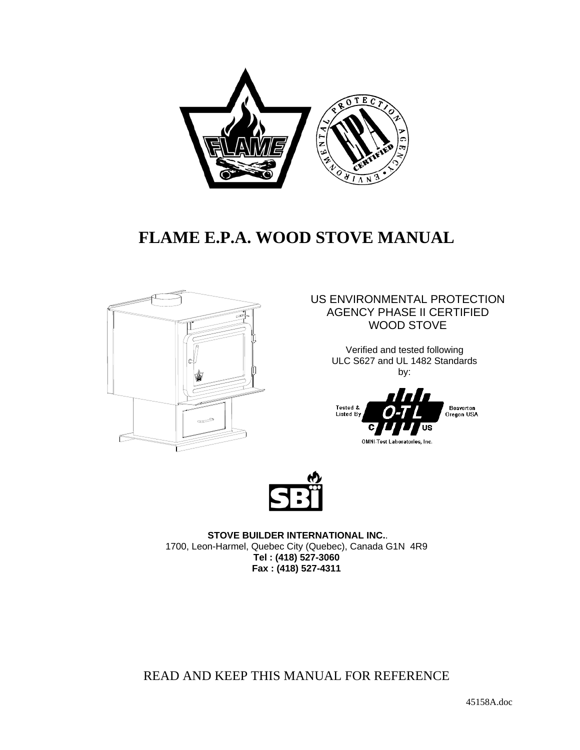

## **FLAME E.P.A. WOOD STOVE MANUAL**



US ENVIRONMENTAL PROTECTION AGENCY PHASE II CERTIFIED WOOD STOVE

> Verified and tested following ULC S627 and UL 1482 Standards by:





**STOVE BUILDER INTERNATIONAL INC.**. 1700, Leon-Harmel, Quebec City (Quebec), Canada G1N 4R9 **Tel : (418) 527-3060 Fax : (418) 527-4311** 

READ AND KEEP THIS MANUAL FOR REFERENCE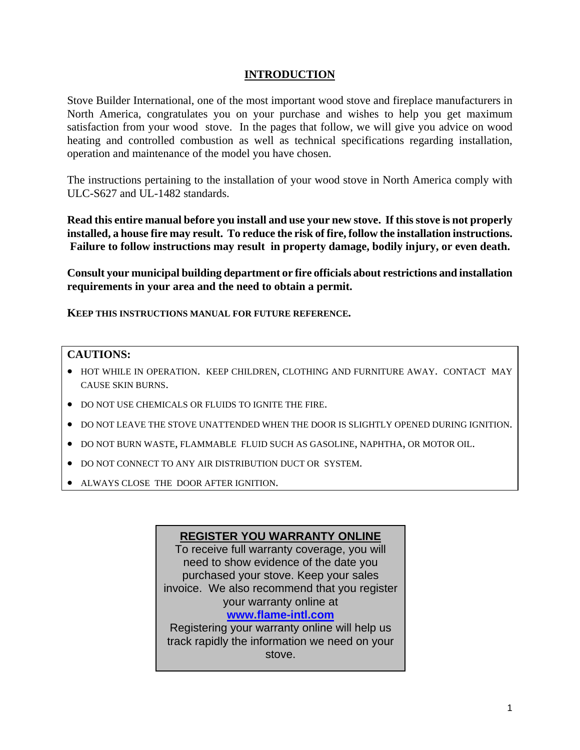#### **INTRODUCTION**

Stove Builder International, one of the most important wood stove and fireplace manufacturers in North America, congratulates you on your purchase and wishes to help you get maximum satisfaction from your wood stove. In the pages that follow, we will give you advice on wood heating and controlled combustion as well as technical specifications regarding installation, operation and maintenance of the model you have chosen.

The instructions pertaining to the installation of your wood stove in North America comply with ULC-S627 and UL-1482 standards.

**Read this entire manual before you install and use your new stove. If this stove is not properly installed, a house fire may result. To reduce the risk of fire, follow the installation instructions. Failure to follow instructions may result in property damage, bodily injury, or even death.** 

**Consult your municipal building department or fire officials about restrictions and installation requirements in your area and the need to obtain a permit.** 

**KEEP THIS INSTRUCTIONS MANUAL FOR FUTURE REFERENCE.** 

#### **CAUTIONS:**

- HOT WHILE IN OPERATION. KEEP CHILDREN, CLOTHING AND FURNITURE AWAY. CONTACT MAY CAUSE SKIN BURNS.
- DO NOT USE CHEMICALS OR FLUIDS TO IGNITE THE FIRE.
- DO NOT LEAVE THE STOVE UNATTENDED WHEN THE DOOR IS SLIGHTLY OPENED DURING IGNITION.
- DO NOT BURN WASTE, FLAMMABLE FLUID SUCH AS GASOLINE, NAPHTHA, OR MOTOR OIL.
- DO NOT CONNECT TO ANY AIR DISTRIBUTION DUCT OR SYSTEM.
- ALWAYS CLOSE THE DOOR AFTER IGNITION.

#### **REGISTER YOU WARRANTY ONLINE**

To receive full warranty coverage, you will need to show evidence of the date you purchased your stove. Keep your sales invoice. We also recommend that you register your warranty online at

#### **www.flame-intl.com**

Registering your warranty online will help us track rapidly the information we need on your stove.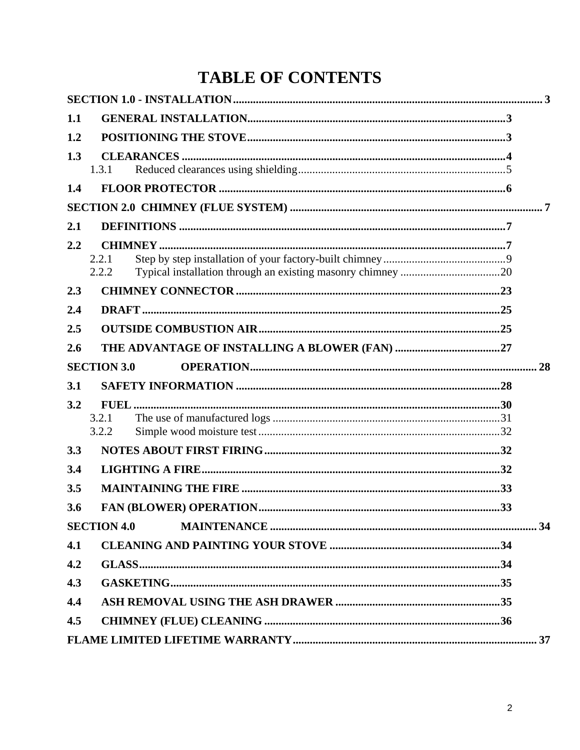# **TABLE OF CONTENTS**

| 1.1 |                    |  |  |
|-----|--------------------|--|--|
| 1.2 |                    |  |  |
| 1.3 |                    |  |  |
|     | 1.3.1              |  |  |
| 1.4 |                    |  |  |
|     |                    |  |  |
| 2.1 |                    |  |  |
| 2.2 | 2.2.1<br>2.2.2     |  |  |
| 2.3 |                    |  |  |
| 2.4 |                    |  |  |
| 2.5 |                    |  |  |
| 2.6 |                    |  |  |
|     | <b>SECTION 3.0</b> |  |  |
|     |                    |  |  |
| 3.1 |                    |  |  |
| 3.2 |                    |  |  |
|     | 3.2.1<br>3.2.2     |  |  |
| 3.3 |                    |  |  |
| 3.4 |                    |  |  |
| 3.5 |                    |  |  |
| 3.6 |                    |  |  |
|     | <b>SECTION 4.0</b> |  |  |
| 4.1 |                    |  |  |
| 4.2 |                    |  |  |
| 4.3 |                    |  |  |
| 4.4 |                    |  |  |
| 4.5 |                    |  |  |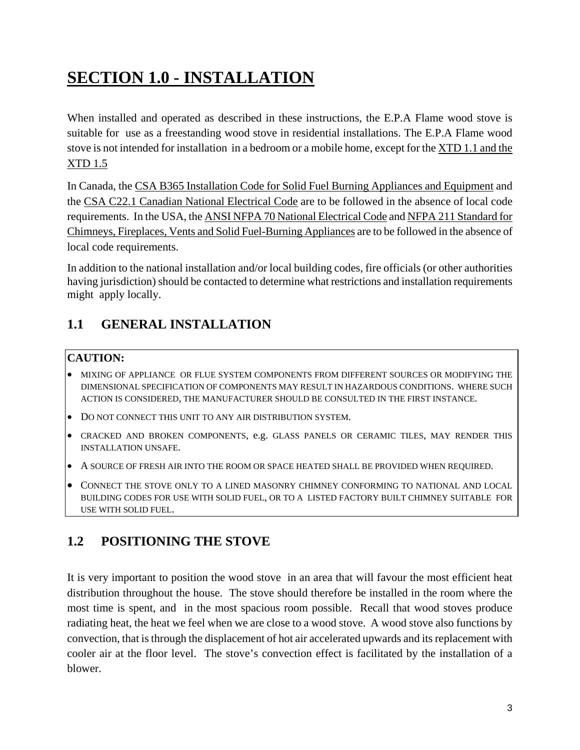# **SECTION 1.0 - INSTALLATION**

When installed and operated as described in these instructions, the E.P.A Flame wood stove is suitable for use as a freestanding wood stove in residential installations. The E.P.A Flame wood stove is not intended for installation in a bedroom or a mobile home, except for the XTD 1.1 and the XTD 1.5

In Canada, the CSA B365 Installation Code for Solid Fuel Burning Appliances and Equipment and the CSA C22.1 Canadian National Electrical Code are to be followed in the absence of local code requirements. In the USA, the ANSI NFPA 70 National Electrical Code and NFPA 211 Standard for Chimneys, Fireplaces, Vents and Solid Fuel-Burning Appliances are to be followed in the absence of local code requirements.

In addition to the national installation and/or local building codes, fire officials (or other authorities having jurisdiction) should be contacted to determine what restrictions and installation requirements might apply locally.

## **1.1 GENERAL INSTALLATION**

#### **CAUTION:**

- MIXING OF APPLIANCE OR FLUE SYSTEM COMPONENTS FROM DIFFERENT SOURCES OR MODIFYING THE DIMENSIONAL SPECIFICATION OF COMPONENTS MAY RESULT IN HAZARDOUS CONDITIONS. WHERE SUCH ACTION IS CONSIDERED, THE MANUFACTURER SHOULD BE CONSULTED IN THE FIRST INSTANCE.
- DO NOT CONNECT THIS UNIT TO ANY AIR DISTRIBUTION SYSTEM.
- CRACKED AND BROKEN COMPONENTS, e.g. GLASS PANELS OR CERAMIC TILES, MAY RENDER THIS INSTALLATION UNSAFE.
- A SOURCE OF FRESH AIR INTO THE ROOM OR SPACE HEATED SHALL BE PROVIDED WHEN REQUIRED.
- CONNECT THE STOVE ONLY TO A LINED MASONRY CHIMNEY CONFORMING TO NATIONAL AND LOCAL BUILDING CODES FOR USE WITH SOLID FUEL, OR TO A LISTED FACTORY BUILT CHIMNEY SUITABLE FOR USE WITH SOLID FUEL.

## **1.2 POSITIONING THE STOVE**

It is very important to position the wood stove in an area that will favour the most efficient heat distribution throughout the house. The stove should therefore be installed in the room where the most time is spent, and in the most spacious room possible. Recall that wood stoves produce radiating heat, the heat we feel when we are close to a wood stove. A wood stove also functions by convection, that is through the displacement of hot air accelerated upwards and its replacement with cooler air at the floor level. The stove's convection effect is facilitated by the installation of a blower.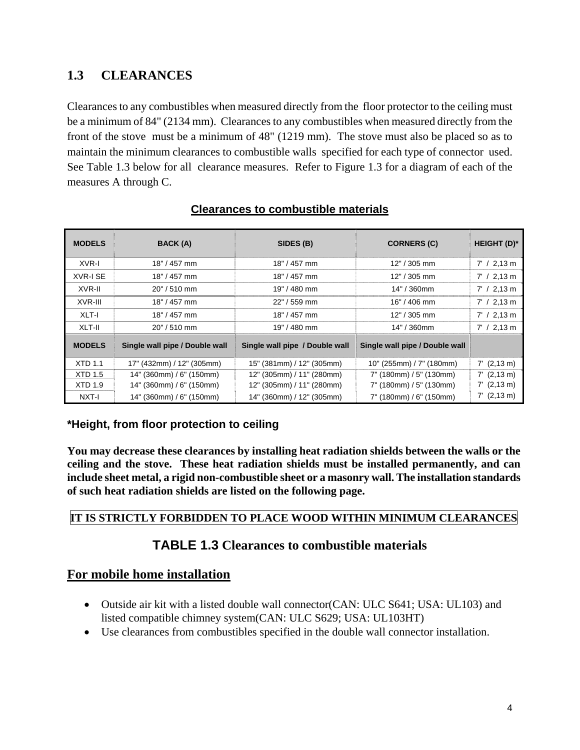## **1.3 CLEARANCES**

Clearances to any combustibles when measured directly from the floor protector to the ceiling must be a minimum of 84" (2134 mm). Clearances to any combustibles when measured directly from the front of the stove must be a minimum of 48" (1219 mm). The stove must also be placed so as to maintain the minimum clearances to combustible walls specified for each type of connector used. See Table 1.3 below for all clearance measures. Refer to Figure 1.3 for a diagram of each of the measures A through C.

| <b>MODELS</b>   | BACK (A)                       | SIDES (B)                      | <b>CORNERS (C)</b>             | <b>HEIGHT (D)*</b> |
|-----------------|--------------------------------|--------------------------------|--------------------------------|--------------------|
| XVR-I           | $18" / 457$ mm                 | $18" / 457$ mm                 | $12" / 305$ mm                 | $7' / 2,13$ m      |
| <b>XVR-I SE</b> | 18" / 457 mm                   | 18" / 457 mm                   | $12" / 305$ mm                 | $7' / 2,13$ m      |
| XVR-II          | $20" / 510$ mm                 | 19" / 480 mm                   | 14" / 360mm                    | $7' / 2,13$ m      |
| XVR-III         | 18" / 457 mm                   | $22" / 559$ mm                 | $16" / 406$ mm                 | $7' / 2,13$ m      |
| XLT-I           | 18" / 457 mm                   | 18" / 457 mm                   | $12" / 305$ mm                 | $7' / 2,13$ m      |
| XLT-II          | $20" / 510$ mm                 | 19" / 480 mm                   | 14" / 360mm                    | $7' / 2,13$ m      |
| <b>MODELS</b>   | Single wall pipe / Double wall | Single wall pipe / Double wall | Single wall pipe / Double wall |                    |
| <b>XTD 1.1</b>  | 17" (432mm) / 12" (305mm)      | 15" (381mm) / 12" (305mm)      | 10" (255mm) / 7" (180mm)       | $7'$ (2,13 m)      |
| <b>XTD 1.5</b>  | 14" (360mm) / 6" (150mm)       | 12" (305mm) / 11" (280mm)      | 7" (180mm) / 5" (130mm)        | $7'$ (2,13 m)      |
| <b>XTD 1.9</b>  | 14" (360mm) / 6" (150mm)       | 12" (305mm) / 11" (280mm)      | 7" (180mm) / 5" (130mm)        | $7'$ (2,13 m)      |
| NXT-I           | 14" (360mm) / 6" (150mm)       | 14" (360mm) / 12" (305mm)      | 7" (180mm) / 6" (150mm)        | $7'$ (2,13 m)      |

#### **Clearances to combustible materials**

#### **\*Height, from floor protection to ceiling**

**You may decrease these clearances by installing heat radiation shields between the walls or the ceiling and the stove. These heat radiation shields must be installed permanently, and can include sheet metal, a rigid non-combustible sheet or a masonry wall. The installation standards of such heat radiation shields are listed on the following page.** 

### **IT IS STRICTLY FORBIDDEN TO PLACE WOOD WITHIN MINIMUM CLEARANCES**

### **TABLE 1.3 Clearances to combustible materials**

### **For mobile home installation**

- Outside air kit with a listed double wall connector (CAN: ULC S641; USA: UL103) and listed compatible chimney system(CAN: ULC S629; USA: UL103HT)
- Use clearances from combustibles specified in the double wall connector installation.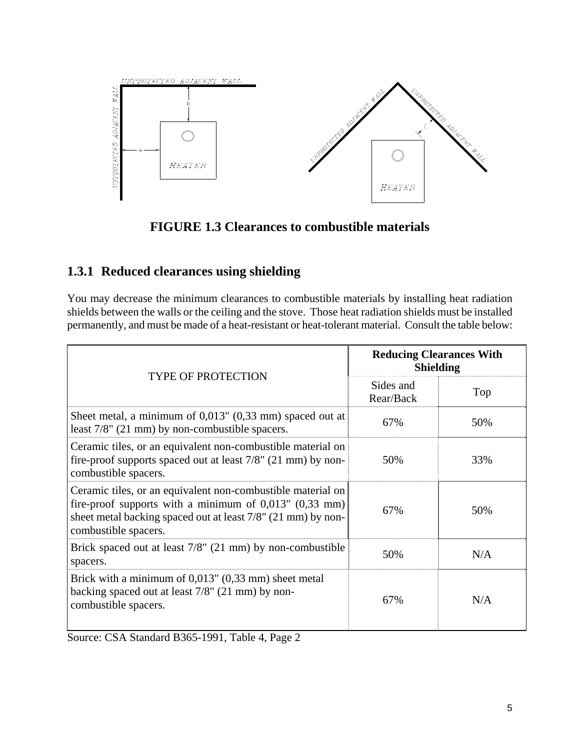

## **FIGURE 1.3 Clearances to combustible materials**

### **1.3.1 Reduced clearances using shielding**

You may decrease the minimum clearances to combustible materials by installing heat radiation shields between the walls or the ceiling and the stove. Those heat radiation shields must be installed permanently, and must be made of a heat-resistant or heat-tolerant material. Consult the table below:

| <b>TYPE OF PROTECTION</b>                                                                                                                                                                                          | <b>Reducing Clearances With</b><br><b>Shielding</b> |     |
|--------------------------------------------------------------------------------------------------------------------------------------------------------------------------------------------------------------------|-----------------------------------------------------|-----|
|                                                                                                                                                                                                                    | Sides and<br>Rear/Back                              | Top |
| Sheet metal, a minimum of $0.013$ " $(0.33 \text{ mm})$ spaced out at<br>least 7/8" (21 mm) by non-combustible spacers.                                                                                            | 67%                                                 | 50% |
| Ceramic tiles, or an equivalent non-combustible material on<br>fire-proof supports spaced out at least $7/8$ " (21 mm) by non-<br>combustible spacers.                                                             | 50%                                                 | 33% |
| Ceramic tiles, or an equivalent non-combustible material on<br>fire-proof supports with a minimum of $0,013$ " $(0,33$ mm)<br>sheet metal backing spaced out at least 7/8" (21 mm) by non-<br>combustible spacers. | 67%                                                 | 50% |
| Brick spaced out at least $7/8$ " (21 mm) by non-combustible<br>spacers.                                                                                                                                           | 50%                                                 | N/A |
| Brick with a minimum of $0.013$ " $(0.33 \text{ mm})$ sheet metal<br>backing spaced out at least 7/8" (21 mm) by non-<br>combustible spacers.                                                                      | 67%                                                 | N/A |

Source: CSA Standard B365-1991, Table 4, Page 2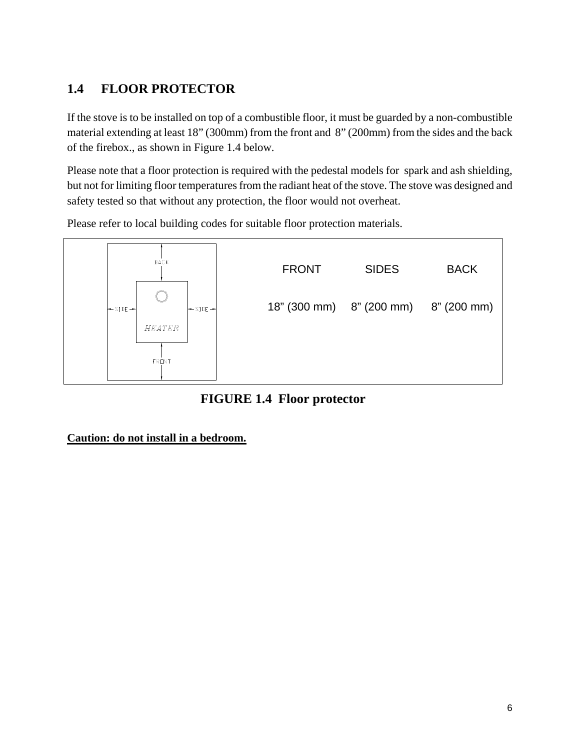## **1.4 FLOOR PROTECTOR**

If the stove is to be installed on top of a combustible floor, it must be guarded by a non-combustible material extending at least 18" (300mm) from the front and 8" (200mm) from the sides and the back of the firebox., as shown in Figure 1.4 below.

Please note that a floor protection is required with the pedestal models for spark and ash shielding, but not for limiting floor temperatures from the radiant heat of the stove. The stove was designed and safety tested so that without any protection, the floor would not overheat.

Please refer to local building codes for suitable floor protection materials.



**FIGURE 1.4 Floor protector** 

**Caution: do not install in a bedroom.**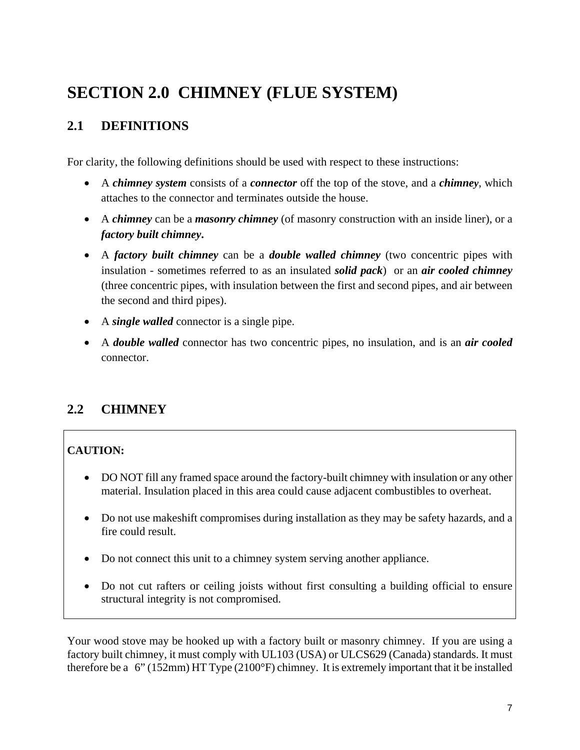# **SECTION 2.0 CHIMNEY (FLUE SYSTEM)**

## **2.1 DEFINITIONS**

For clarity, the following definitions should be used with respect to these instructions:

- A *chimney system* consists of a *connector* off the top of the stove, and a *chimney*, which attaches to the connector and terminates outside the house.
- A *chimney* can be a *masonry chimney* (of masonry construction with an inside liner), or a *factory built chimney***.**
- A *factory built chimney* can be a *double walled chimney* (two concentric pipes with insulation - sometimes referred to as an insulated *solid pack*) or an *air cooled chimney* (three concentric pipes, with insulation between the first and second pipes, and air between the second and third pipes).
- A *single walled* connector is a single pipe.
- A *double walled* connector has two concentric pipes, no insulation, and is an *air cooled* connector.

## **2.2 CHIMNEY**

## **CAUTION:**

- DO NOT fill any framed space around the factory-built chimney with insulation or any other material. Insulation placed in this area could cause adjacent combustibles to overheat.
- Do not use makeshift compromises during installation as they may be safety hazards, and a fire could result.
- Do not connect this unit to a chimney system serving another appliance.
- Do not cut rafters or ceiling joists without first consulting a building official to ensure structural integrity is not compromised.

Your wood stove may be hooked up with a factory built or masonry chimney. If you are using a factory built chimney, it must comply with UL103 (USA) or ULCS629 (Canada) standards. It must therefore be a 6" (152mm) HT Type (2100°F) chimney. It is extremely important that it be installed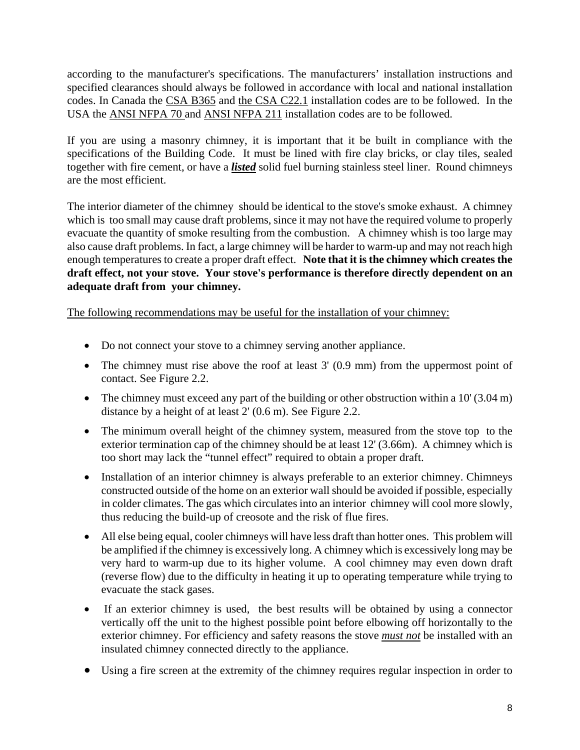according to the manufacturer's specifications. The manufacturers' installation instructions and specified clearances should always be followed in accordance with local and national installation codes. In Canada the CSA B365 and the CSA C22.1 installation codes are to be followed. In the USA the ANSI NFPA 70 and ANSI NFPA 211 installation codes are to be followed.

If you are using a masonry chimney, it is important that it be built in compliance with the specifications of the Building Code. It must be lined with fire clay bricks, or clay tiles, sealed together with fire cement, or have a *listed* solid fuel burning stainless steel liner. Round chimneys are the most efficient.

The interior diameter of the chimney should be identical to the stove's smoke exhaust. A chimney which is too small may cause draft problems, since it may not have the required volume to properly evacuate the quantity of smoke resulting from the combustion. A chimney whish is too large may also cause draft problems. In fact, a large chimney will be harder to warm-up and may not reach high enough temperatures to create a proper draft effect. **Note that it is the chimney which creates the draft effect, not your stove. Your stove's performance is therefore directly dependent on an adequate draft from your chimney.**

The following recommendations may be useful for the installation of your chimney:

- Do not connect your stove to a chimney serving another appliance.
- The chimney must rise above the roof at least 3' (0.9 mm) from the uppermost point of contact. See Figure 2.2.
- The chimney must exceed any part of the building or other obstruction within a 10' (3.04 m) distance by a height of at least 2' (0.6 m). See Figure 2.2.
- The minimum overall height of the chimney system, measured from the stove top to the exterior termination cap of the chimney should be at least 12' (3.66m). A chimney which is too short may lack the "tunnel effect" required to obtain a proper draft.
- Installation of an interior chimney is always preferable to an exterior chimney. Chimneys constructed outside of the home on an exterior wall should be avoided if possible, especially in colder climates. The gas which circulates into an interior chimney will cool more slowly, thus reducing the build-up of creosote and the risk of flue fires.
- All else being equal, cooler chimneys will have less draft than hotter ones. This problem will be amplified if the chimney is excessively long. A chimney which is excessively long may be very hard to warm-up due to its higher volume. A cool chimney may even down draft (reverse flow) due to the difficulty in heating it up to operating temperature while trying to evacuate the stack gases.
- If an exterior chimney is used, the best results will be obtained by using a connector vertically off the unit to the highest possible point before elbowing off horizontally to the exterior chimney. For efficiency and safety reasons the stove *must not* be installed with an insulated chimney connected directly to the appliance.
- Using a fire screen at the extremity of the chimney requires regular inspection in order to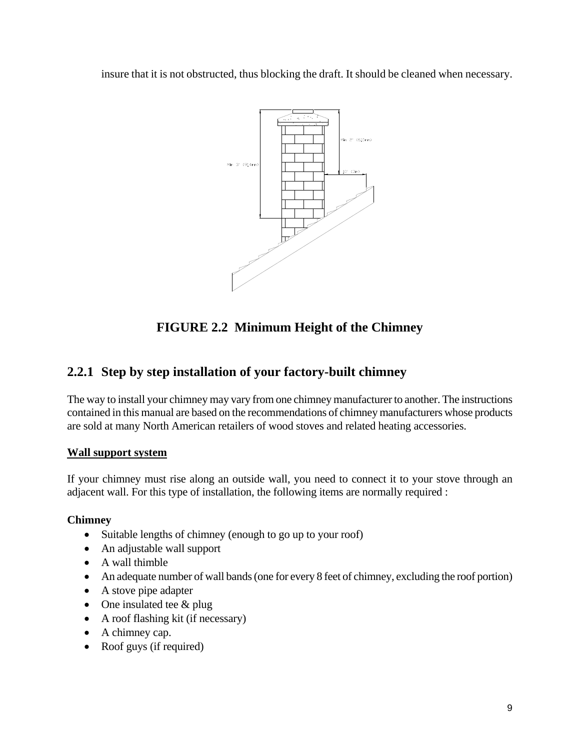insure that it is not obstructed, thus blocking the draft. It should be cleaned when necessary.



**FIGURE 2.2 Minimum Height of the Chimney** 

## **2.2.1 Step by step installation of your factory-built chimney**

The way to install your chimney may vary from one chimney manufacturer to another. The instructions contained in this manual are based on the recommendations of chimney manufacturers whose products are sold at many North American retailers of wood stoves and related heating accessories.

#### **Wall support system**

If your chimney must rise along an outside wall, you need to connect it to your stove through an adjacent wall. For this type of installation, the following items are normally required :

#### **Chimney**

- Suitable lengths of chimney (enough to go up to your roof)
- An adjustable wall support
- A wall thimble
- An adequate number of wall bands (one for every 8 feet of chimney, excluding the roof portion)
- A stove pipe adapter
- One insulated tee & plug
- A roof flashing kit (if necessary)
- A chimney cap.
- Roof guys (if required)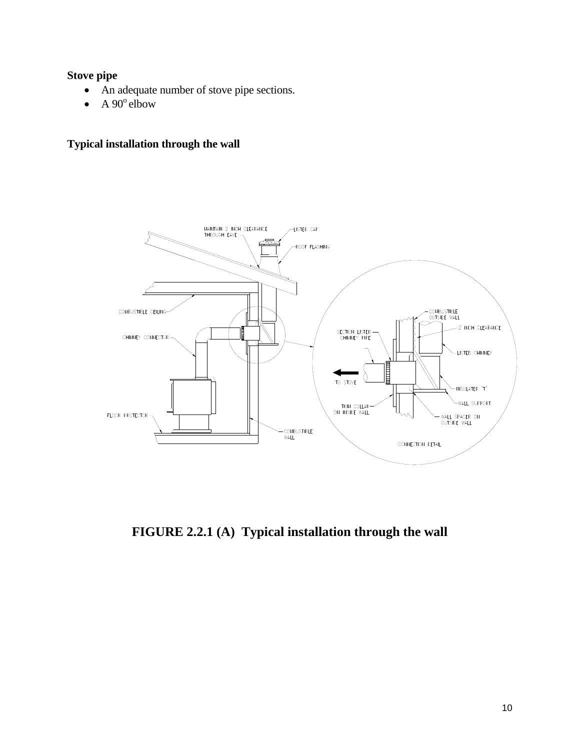#### **Stove pipe**

- An adequate number of stove pipe sections.
- A  $90^\circ$  elbow

## **Typical installation through the wall**



**FIGURE 2.2.1 (A) Typical installation through the wall**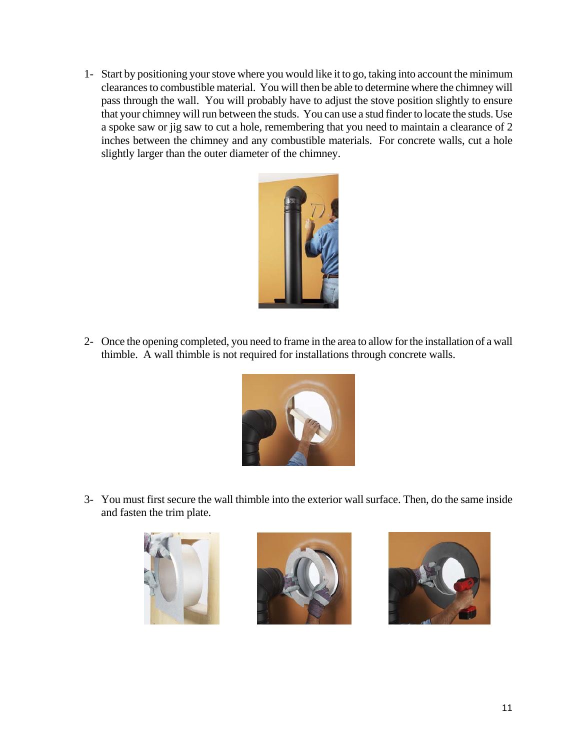1- Start by positioning your stove where you would like it to go, taking into account the minimum clearances to combustible material. You will then be able to determine where the chimney will pass through the wall. You will probably have to adjust the stove position slightly to ensure that your chimney will run between the studs. You can use a stud finder to locate the studs. Use a spoke saw or jig saw to cut a hole, remembering that you need to maintain a clearance of 2 inches between the chimney and any combustible materials. For concrete walls, cut a hole slightly larger than the outer diameter of the chimney.



2- Once the opening completed, you need to frame in the area to allow for the installation of a wall thimble. A wall thimble is not required for installations through concrete walls.



3- You must first secure the wall thimble into the exterior wall surface. Then, do the same inside and fasten the trim plate.





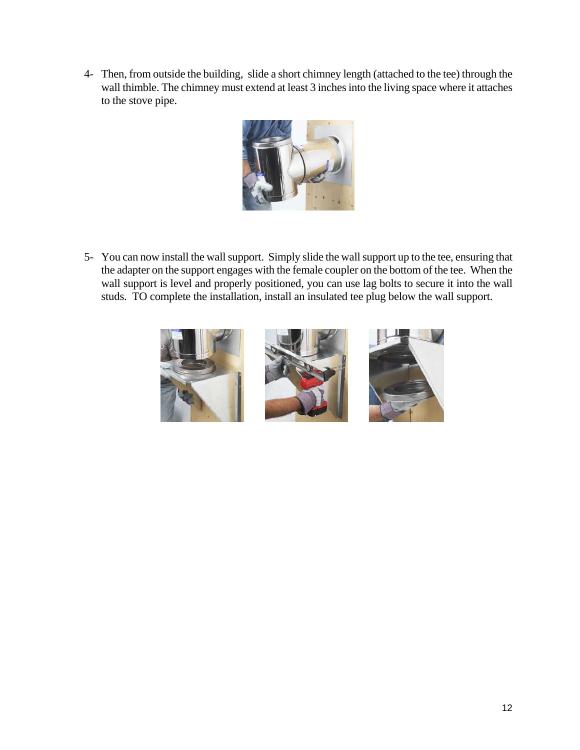4- Then, from outside the building, slide a short chimney length (attached to the tee) through the wall thimble. The chimney must extend at least 3 inches into the living space where it attaches to the stove pipe.



5- You can now install the wall support. Simply slide the wall support up to the tee, ensuring that the adapter on the support engages with the female coupler on the bottom of the tee. When the wall support is level and properly positioned, you can use lag bolts to secure it into the wall studs. TO complete the installation, install an insulated tee plug below the wall support.

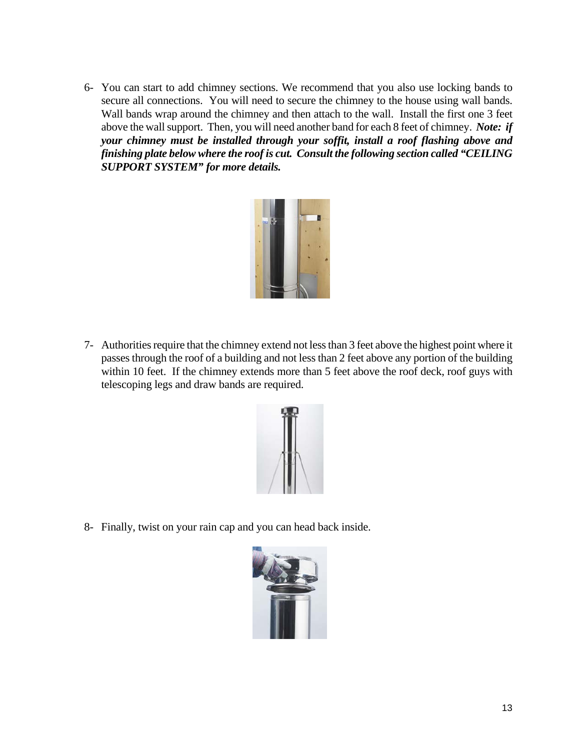6- You can start to add chimney sections. We recommend that you also use locking bands to secure all connections. You will need to secure the chimney to the house using wall bands. Wall bands wrap around the chimney and then attach to the wall. Install the first one 3 feet above the wall support. Then, you will need another band for each 8 feet of chimney. *Note: if your chimney must be installed through your soffit, install a roof flashing above and finishing plate below where the roof is cut. Consult the following section called "CEILING SUPPORT SYSTEM" for more details.*



7- Authorities require that the chimney extend not less than 3 feet above the highest point where it passes through the roof of a building and not less than 2 feet above any portion of the building within 10 feet. If the chimney extends more than 5 feet above the roof deck, roof guys with telescoping legs and draw bands are required.



8- Finally, twist on your rain cap and you can head back inside.

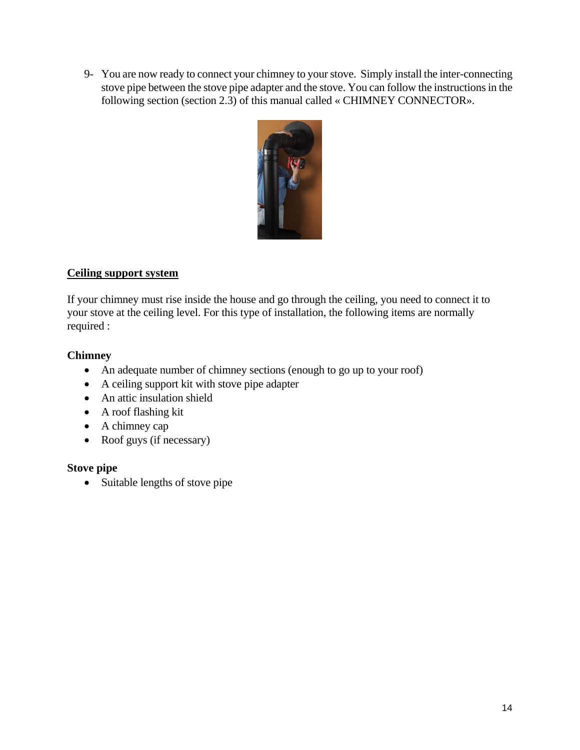9- You are now ready to connect your chimney to your stove. Simply install the inter-connecting stove pipe between the stove pipe adapter and the stove. You can follow the instructions in the following section (section 2.3) of this manual called « CHIMNEY CONNECTOR».



#### **Ceiling support system**

If your chimney must rise inside the house and go through the ceiling, you need to connect it to your stove at the ceiling level. For this type of installation, the following items are normally required :

#### **Chimney**

- An adequate number of chimney sections (enough to go up to your roof)
- A ceiling support kit with stove pipe adapter
- An attic insulation shield
- A roof flashing kit
- A chimney cap
- Roof guys (if necessary)

#### **Stove pipe**

• Suitable lengths of stove pipe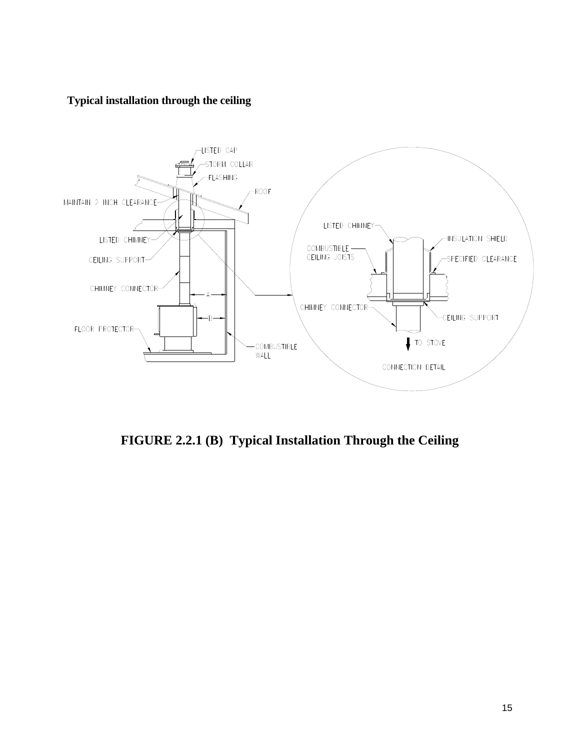#### **Typical installation through the ceiling**



**FIGURE 2.2.1 (B) Typical Installation Through the Ceiling**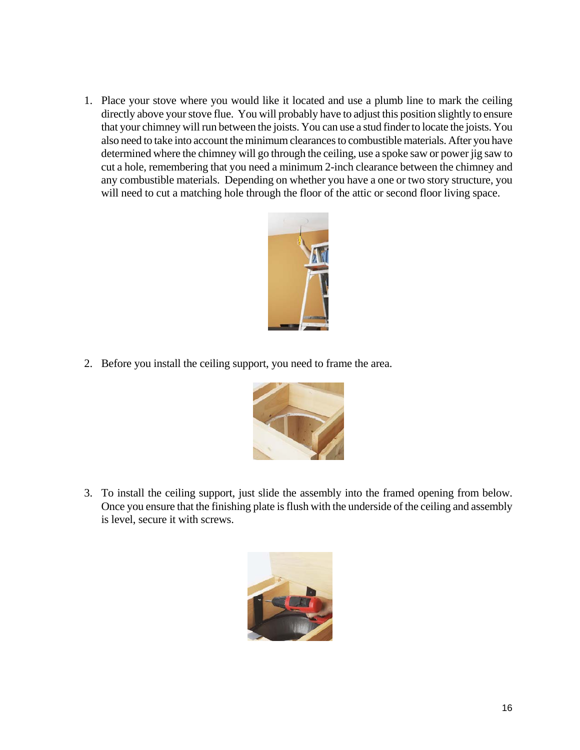1. Place your stove where you would like it located and use a plumb line to mark the ceiling directly above your stove flue. You will probably have to adjust this position slightly to ensure that your chimney will run between the joists. You can use a stud finder to locate the joists. You also need to take into account the minimum clearances to combustible materials. After you have determined where the chimney will go through the ceiling, use a spoke saw or power jig saw to cut a hole, remembering that you need a minimum 2-inch clearance between the chimney and any combustible materials. Depending on whether you have a one or two story structure, you will need to cut a matching hole through the floor of the attic or second floor living space.



2. Before you install the ceiling support, you need to frame the area.



3. To install the ceiling support, just slide the assembly into the framed opening from below. Once you ensure that the finishing plate is flush with the underside of the ceiling and assembly is level, secure it with screws.

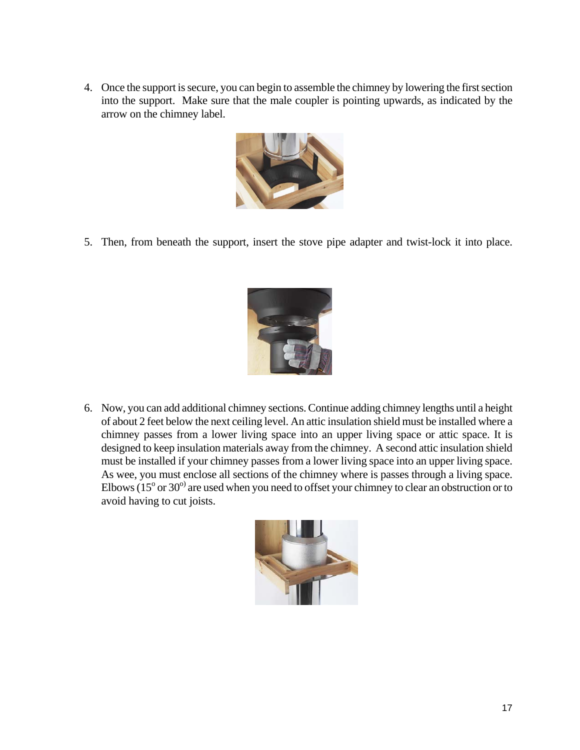4. Once the support is secure, you can begin to assemble the chimney by lowering the first section into the support. Make sure that the male coupler is pointing upwards, as indicated by the arrow on the chimney label.



5. Then, from beneath the support, insert the stove pipe adapter and twist-lock it into place.



6. Now, you can add additional chimney sections. Continue adding chimney lengths until a height of about 2 feet below the next ceiling level. An attic insulation shield must be installed where a chimney passes from a lower living space into an upper living space or attic space. It is designed to keep insulation materials away from the chimney. A second attic insulation shield must be installed if your chimney passes from a lower living space into an upper living space. As wee, you must enclose all sections of the chimney where is passes through a living space. Elbows  $(15^{\circ}$  or 30<sup>o)</sup> are used when you need to offset your chimney to clear an obstruction or to avoid having to cut joists.

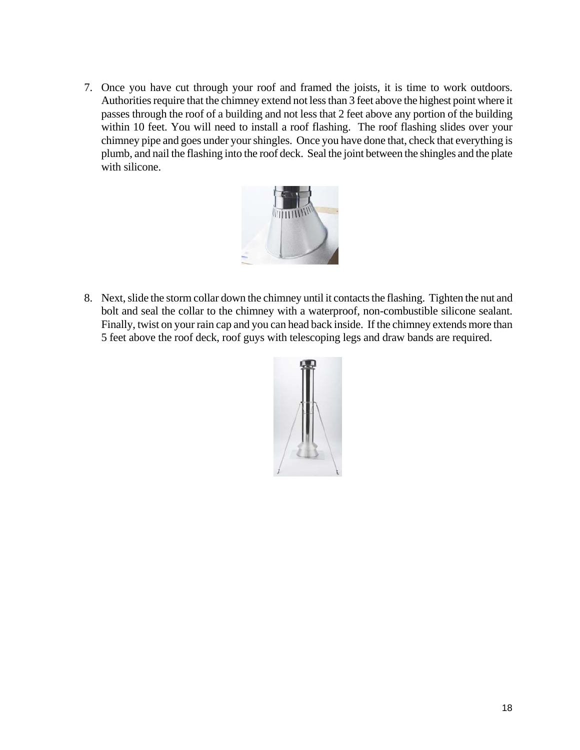7. Once you have cut through your roof and framed the joists, it is time to work outdoors. Authorities require that the chimney extend not less than 3 feet above the highest point where it passes through the roof of a building and not less that 2 feet above any portion of the building within 10 feet. You will need to install a roof flashing. The roof flashing slides over your chimney pipe and goes under your shingles. Once you have done that, check that everything is plumb, and nail the flashing into the roof deck. Seal the joint between the shingles and the plate with silicone.



8. Next, slide the storm collar down the chimney until it contacts the flashing. Tighten the nut and bolt and seal the collar to the chimney with a waterproof, non-combustible silicone sealant. Finally, twist on your rain cap and you can head back inside. If the chimney extends more than 5 feet above the roof deck, roof guys with telescoping legs and draw bands are required.

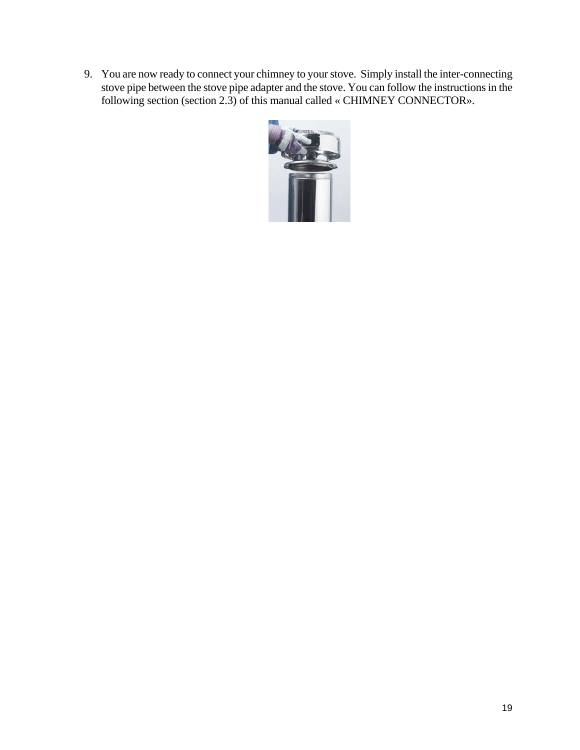9. You are now ready to connect your chimney to your stove. Simply install the inter-connecting stove pipe between the stove pipe adapter and the stove. You can follow the instructions in the following section (section 2.3) of this manual called « CHIMNEY CONNECTOR».

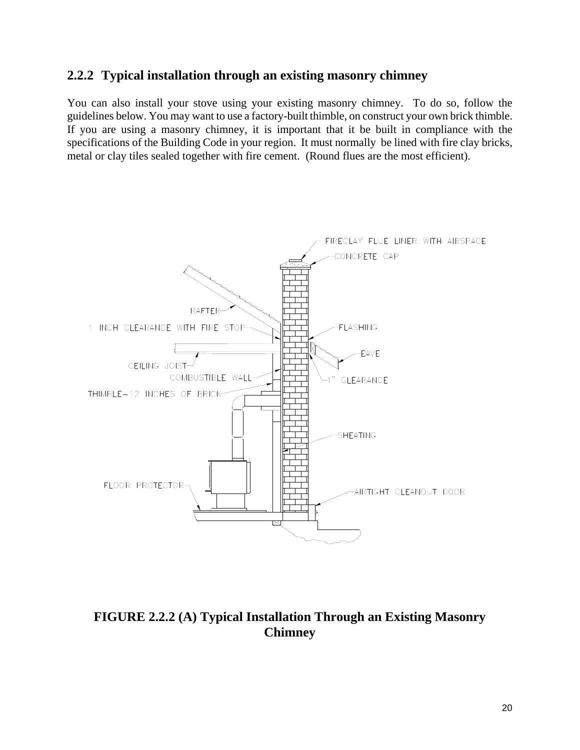#### **2.2.2 Typical installation through an existing masonry chimney**

You can also install your stove using your existing masonry chimney. To do so, follow the guidelines below. You may want to use a factory-built thimble, on construct your own brick thimble. If you are using a masonry chimney, it is important that it be built in compliance with the specifications of the Building Code in your region. It must normally be lined with fire clay bricks, metal or clay tiles sealed together with fire cement. (Round flues are the most efficient).



**FIGURE 2.2.2 (A) Typical Installation Through an Existing Masonry Chimney**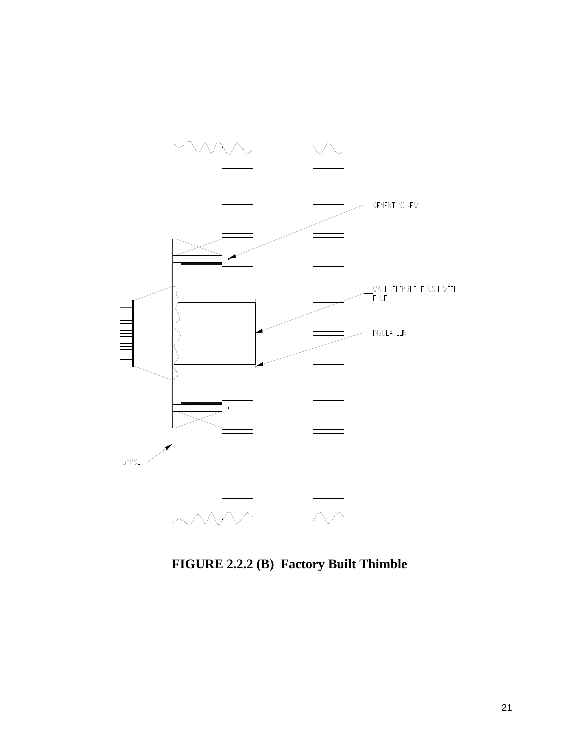

**FIGURE 2.2.2 (B) Factory Built Thimble**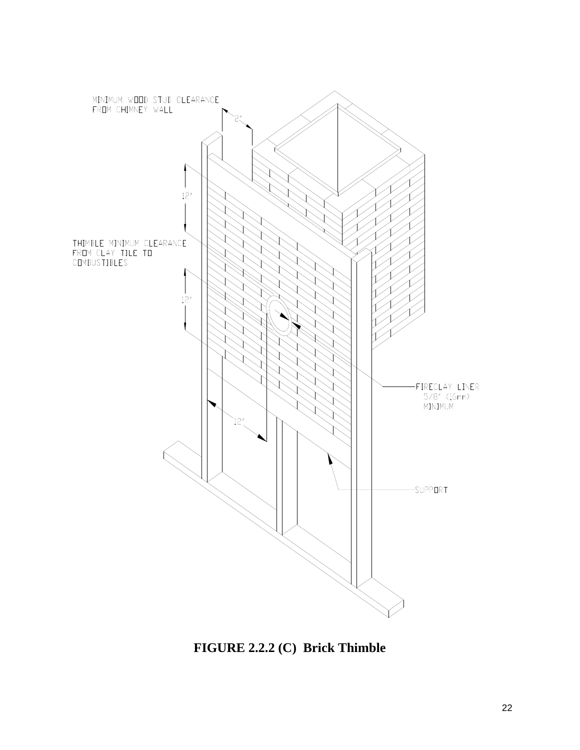

**FIGURE 2.2.2 (C) Brick Thimble**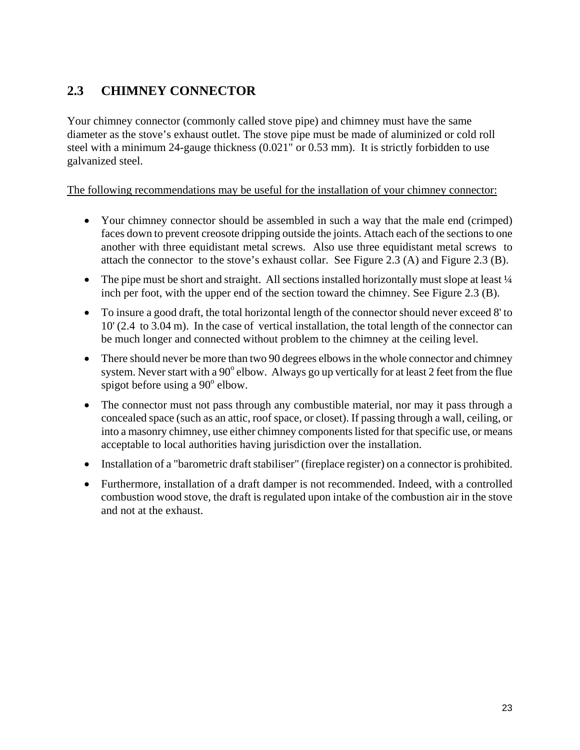## **2.3 CHIMNEY CONNECTOR**

Your chimney connector (commonly called stove pipe) and chimney must have the same diameter as the stove's exhaust outlet. The stove pipe must be made of aluminized or cold roll steel with a minimum 24-gauge thickness (0.021" or 0.53 mm). It is strictly forbidden to use galvanized steel.

#### The following recommendations may be useful for the installation of your chimney connector:

- Your chimney connector should be assembled in such a way that the male end (crimped) faces down to prevent creosote dripping outside the joints. Attach each of the sections to one another with three equidistant metal screws. Also use three equidistant metal screws to attach the connector to the stove's exhaust collar. See Figure 2.3 (A) and Figure 2.3 (B).
- The pipe must be short and straight. All sections installed horizontally must slope at least  $\frac{1}{4}$ inch per foot, with the upper end of the section toward the chimney. See Figure 2.3 (B).
- To insure a good draft, the total horizontal length of the connector should never exceed 8' to 10' (2.4 to 3.04 m). In the case of vertical installation, the total length of the connector can be much longer and connected without problem to the chimney at the ceiling level.
- There should never be more than two 90 degrees elbows in the whole connector and chimney system. Never start with a 90 $^{\circ}$  elbow. Always go up vertically for at least 2 feet from the flue spigot before using a  $90^\circ$  elbow.
- The connector must not pass through any combustible material, nor may it pass through a concealed space (such as an attic, roof space, or closet). If passing through a wall, ceiling, or into a masonry chimney, use either chimney components listed for that specific use, or means acceptable to local authorities having jurisdiction over the installation.
- Installation of a "barometric draft stabiliser" (fireplace register) on a connector is prohibited.
- Furthermore, installation of a draft damper is not recommended. Indeed, with a controlled combustion wood stove, the draft is regulated upon intake of the combustion air in the stove and not at the exhaust.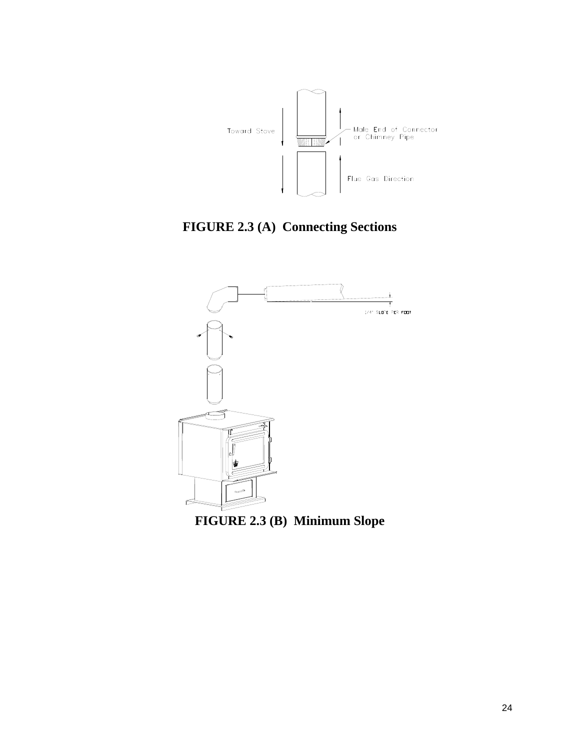

**FIGURE 2.3 (A) Connecting Sections** 



**FIGURE 2.3 (B) Minimum Slope**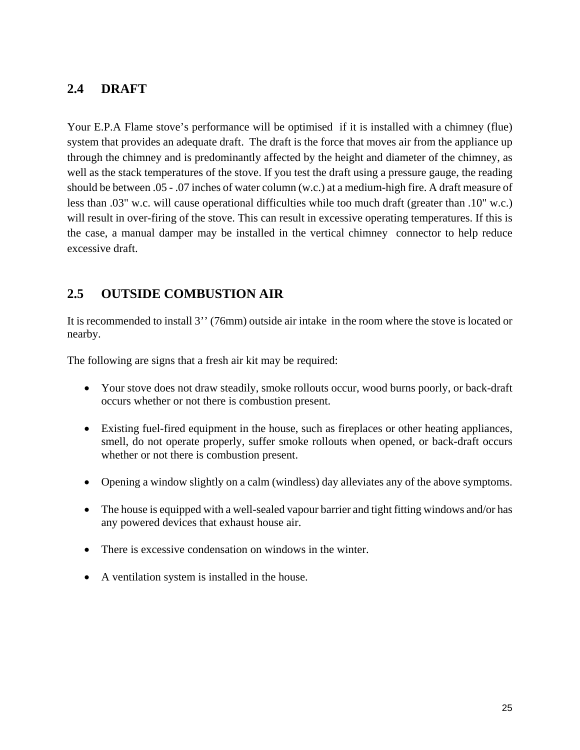### **2.4 DRAFT**

Your E.P.A Flame stove's performance will be optimised if it is installed with a chimney (flue) system that provides an adequate draft. The draft is the force that moves air from the appliance up through the chimney and is predominantly affected by the height and diameter of the chimney, as well as the stack temperatures of the stove. If you test the draft using a pressure gauge, the reading should be between .05 - .07 inches of water column (w.c.) at a medium-high fire. A draft measure of less than .03" w.c. will cause operational difficulties while too much draft (greater than .10" w.c.) will result in over-firing of the stove. This can result in excessive operating temperatures. If this is the case, a manual damper may be installed in the vertical chimney connector to help reduce excessive draft.

## **2.5 OUTSIDE COMBUSTION AIR**

It is recommended to install 3'' (76mm) outside air intake in the room where the stove is located or nearby.

The following are signs that a fresh air kit may be required:

- Your stove does not draw steadily, smoke rollouts occur, wood burns poorly, or back-draft occurs whether or not there is combustion present.
- Existing fuel-fired equipment in the house, such as fireplaces or other heating appliances, smell, do not operate properly, suffer smoke rollouts when opened, or back-draft occurs whether or not there is combustion present.
- Opening a window slightly on a calm (windless) day alleviates any of the above symptoms.
- The house is equipped with a well-sealed vapour barrier and tight fitting windows and/or has any powered devices that exhaust house air.
- There is excessive condensation on windows in the winter.
- A ventilation system is installed in the house.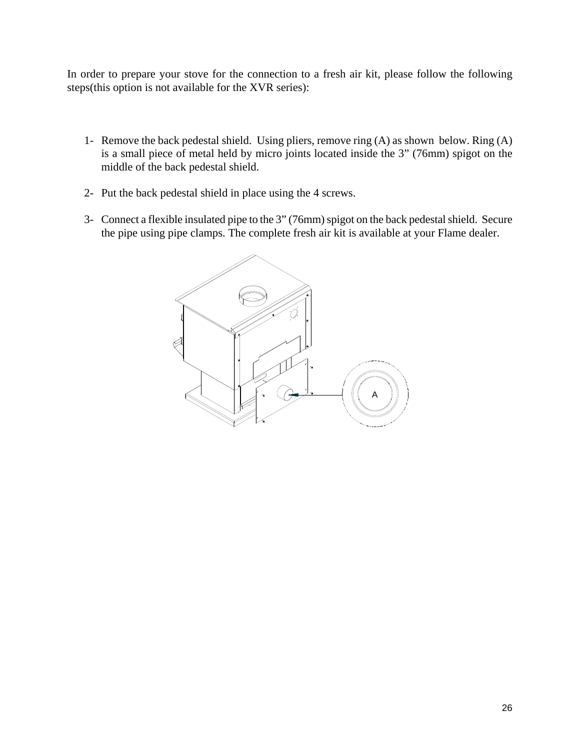In order to prepare your stove for the connection to a fresh air kit, please follow the following steps(this option is not available for the XVR series):

- 1- Remove the back pedestal shield. Using pliers, remove ring (A) as shown below. Ring (A) is a small piece of metal held by micro joints located inside the 3" (76mm) spigot on the middle of the back pedestal shield.
- 2- Put the back pedestal shield in place using the 4 screws.
- 3- Connect a flexible insulated pipe to the 3" (76mm) spigot on the back pedestal shield. Secure the pipe using pipe clamps. The complete fresh air kit is available at your Flame dealer.

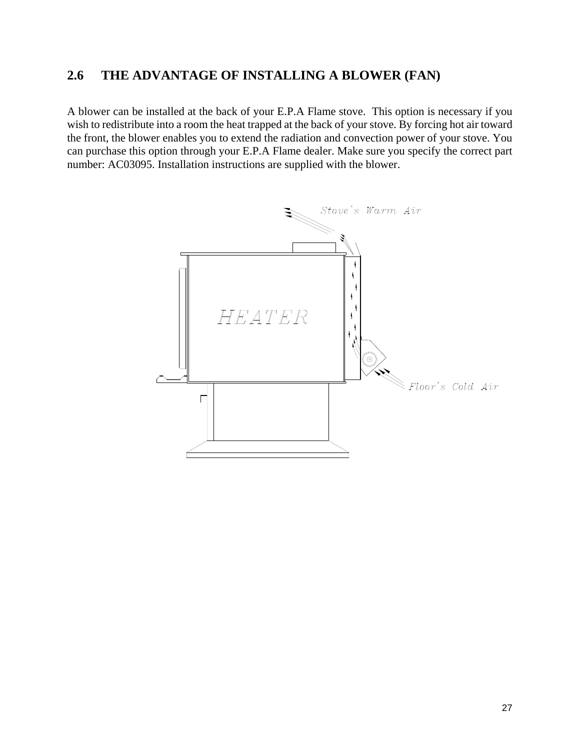## **2.6 THE ADVANTAGE OF INSTALLING A BLOWER (FAN)**

A blower can be installed at the back of your E.P.A Flame stove. This option is necessary if you wish to redistribute into a room the heat trapped at the back of your stove. By forcing hot air toward the front, the blower enables you to extend the radiation and convection power of your stove. You can purchase this option through your E.P.A Flame dealer. Make sure you specify the correct part number: AC03095. Installation instructions are supplied with the blower.

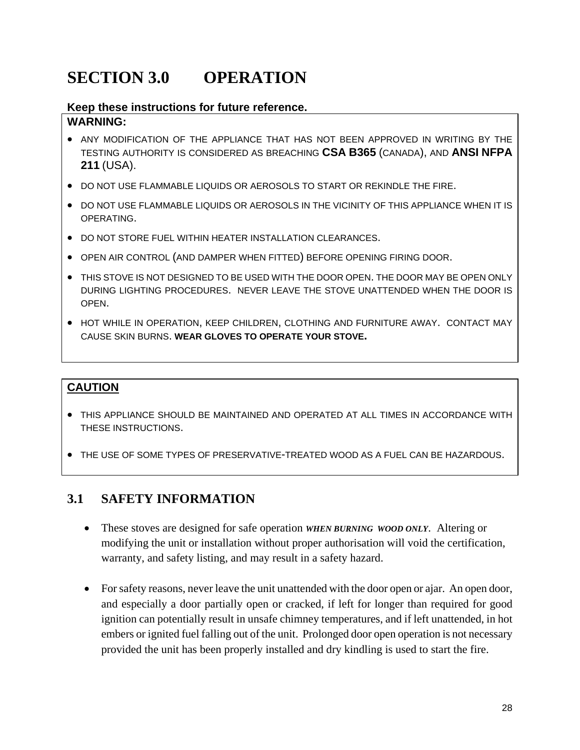# **SECTION 3.0 OPERATION**

#### **Keep these instructions for future reference.**

#### **WARNING:**

- ANY MODIFICATION OF THE APPLIANCE THAT HAS NOT BEEN APPROVED IN WRITING BY THE TESTING AUTHORITY IS CONSIDERED AS BREACHING **CSA B365** (CANADA), AND **ANSI NFPA 211** (USA).
- DO NOT USE FLAMMABLE LIQUIDS OR AEROSOLS TO START OR REKINDLE THE FIRE.
- DO NOT USE FLAMMABLE LIQUIDS OR AEROSOLS IN THE VICINITY OF THIS APPLIANCE WHEN IT IS OPERATING.
- DO NOT STORE FUEL WITHIN HEATER INSTALLATION CLEARANCES.
- OPEN AIR CONTROL (AND DAMPER WHEN FITTED) BEFORE OPENING FIRING DOOR.
- THIS STOVE IS NOT DESIGNED TO BE USED WITH THE DOOR OPEN. THE DOOR MAY BE OPEN ONLY DURING LIGHTING PROCEDURES. NEVER LEAVE THE STOVE UNATTENDED WHEN THE DOOR IS OPEN.
- HOT WHILE IN OPERATION, KEEP CHILDREN, CLOTHING AND FURNITURE AWAY. CONTACT MAY CAUSE SKIN BURNS. **WEAR GLOVES TO OPERATE YOUR STOVE.**

### **CAUTION**

- THIS APPLIANCE SHOULD BE MAINTAINED AND OPERATED AT ALL TIMES IN ACCORDANCE WITH THESE INSTRUCTIONS.
- THE USE OF SOME TYPES OF PRESERVATIVE-TREATED WOOD AS A FUEL CAN BE HAZARDOUS.

## **3.1 SAFETY INFORMATION**

- These stoves are designed for safe operation *WHEN BURNING WOOD ONLY*. Altering or modifying the unit or installation without proper authorisation will void the certification, warranty, and safety listing, and may result in a safety hazard.
- For safety reasons, never leave the unit unattended with the door open or ajar. An open door, and especially a door partially open or cracked, if left for longer than required for good ignition can potentially result in unsafe chimney temperatures, and if left unattended, in hot embers or ignited fuel falling out of the unit. Prolonged door open operation is not necessary provided the unit has been properly installed and dry kindling is used to start the fire.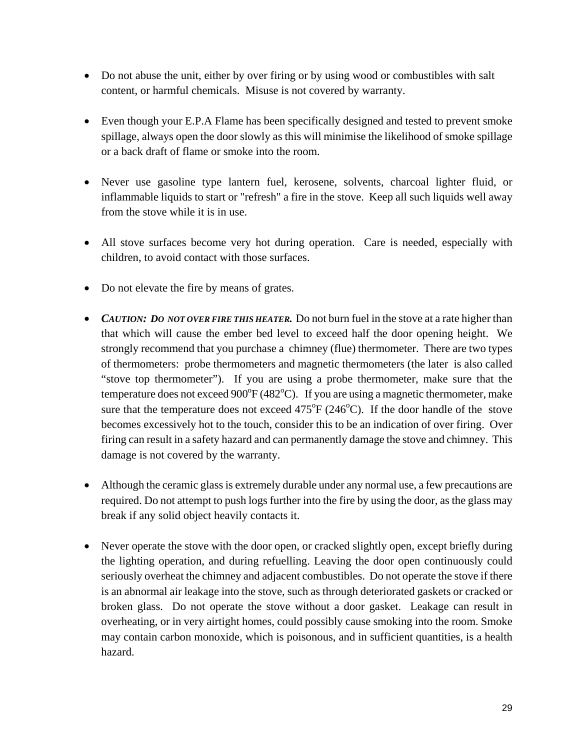- Do not abuse the unit, either by over firing or by using wood or combustibles with salt content, or harmful chemicals. Misuse is not covered by warranty.
- Even though your E.P.A Flame has been specifically designed and tested to prevent smoke spillage, always open the door slowly as this will minimise the likelihood of smoke spillage or a back draft of flame or smoke into the room.
- Never use gasoline type lantern fuel, kerosene, solvents, charcoal lighter fluid, or inflammable liquids to start or "refresh" a fire in the stove. Keep all such liquids well away from the stove while it is in use.
- All stove surfaces become very hot during operation. Care is needed, especially with children, to avoid contact with those surfaces.
- Do not elevate the fire by means of grates.
- *CAUTION: DO NOT OVER FIRE THIS HEATER.* Do not burn fuel in the stove at a rate higher than that which will cause the ember bed level to exceed half the door opening height. We strongly recommend that you purchase a chimney (flue) thermometer. There are two types of thermometers: probe thermometers and magnetic thermometers (the later is also called "stove top thermometer"). If you are using a probe thermometer, make sure that the temperature does not exceed  $900^{\circ}F(482^{\circ}C)$ . If you are using a magnetic thermometer, make sure that the temperature does not exceed  $475^{\circ}F (246^{\circ}C)$ . If the door handle of the stove becomes excessively hot to the touch, consider this to be an indication of over firing. Over firing can result in a safety hazard and can permanently damage the stove and chimney. This damage is not covered by the warranty.
- Although the ceramic glass is extremely durable under any normal use, a few precautions are required. Do not attempt to push logs further into the fire by using the door, as the glass may break if any solid object heavily contacts it.
- Never operate the stove with the door open, or cracked slightly open, except briefly during the lighting operation, and during refuelling. Leaving the door open continuously could seriously overheat the chimney and adjacent combustibles. Do not operate the stove if there is an abnormal air leakage into the stove, such as through deteriorated gaskets or cracked or broken glass. Do not operate the stove without a door gasket. Leakage can result in overheating, or in very airtight homes, could possibly cause smoking into the room. Smoke may contain carbon monoxide, which is poisonous, and in sufficient quantities, is a health hazard.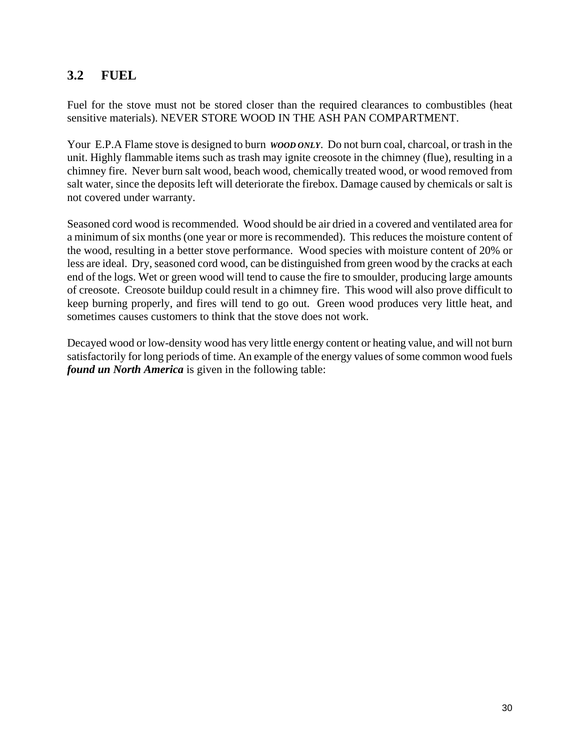## **3.2 FUEL**

Fuel for the stove must not be stored closer than the required clearances to combustibles (heat sensitive materials). NEVER STORE WOOD IN THE ASH PAN COMPARTMENT.

Your E.P.A Flame stove is designed to burn *WOOD ONLY*. Do not burn coal, charcoal, or trash in the unit. Highly flammable items such as trash may ignite creosote in the chimney (flue), resulting in a chimney fire. Never burn salt wood, beach wood, chemically treated wood, or wood removed from salt water, since the deposits left will deteriorate the firebox. Damage caused by chemicals or salt is not covered under warranty.

Seasoned cord wood is recommended. Wood should be air dried in a covered and ventilated area for a minimum of six months (one year or more is recommended). This reduces the moisture content of the wood, resulting in a better stove performance. Wood species with moisture content of 20% or less are ideal. Dry, seasoned cord wood, can be distinguished from green wood by the cracks at each end of the logs. Wet or green wood will tend to cause the fire to smoulder, producing large amounts of creosote. Creosote buildup could result in a chimney fire. This wood will also prove difficult to keep burning properly, and fires will tend to go out. Green wood produces very little heat, and sometimes causes customers to think that the stove does not work.

Decayed wood or low-density wood has very little energy content or heating value, and will not burn satisfactorily for long periods of time. An example of the energy values of some common wood fuels *found un North America* is given in the following table: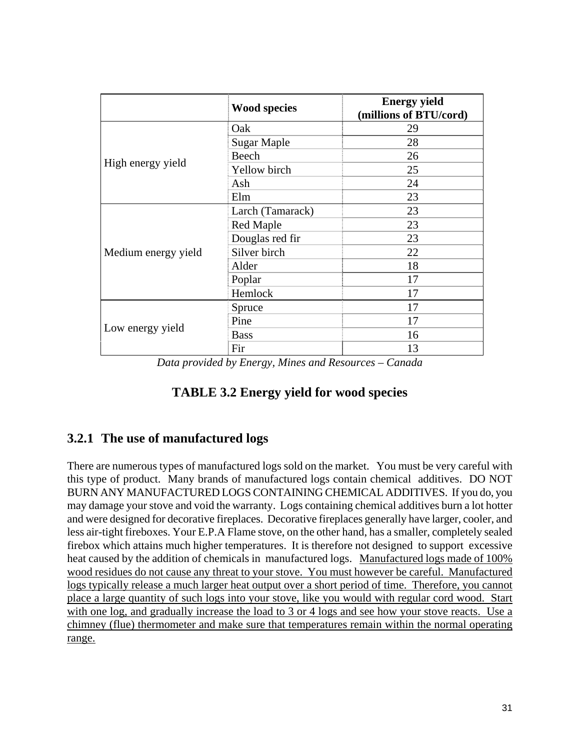|                     | <b>Wood species</b> | <b>Energy yield</b><br>(millions of BTU/cord) |
|---------------------|---------------------|-----------------------------------------------|
|                     | Oak                 | 29                                            |
|                     | <b>Sugar Maple</b>  | 28                                            |
|                     | Beech               | 26                                            |
| High energy yield   | Yellow birch        | 25                                            |
|                     | Ash                 | 24                                            |
|                     | Elm                 | 23                                            |
|                     | Larch (Tamarack)    | 23                                            |
|                     | Red Maple           | 23                                            |
|                     | Douglas red fir     | 23                                            |
| Medium energy yield | Silver birch        | 22                                            |
|                     | Alder               | 18                                            |
|                     | Poplar              | 17                                            |
|                     | Hemlock             | 17                                            |
|                     | Spruce              | 17                                            |
|                     | Pine                | 17                                            |
| Low energy yield    | <b>Bass</b>         | 16                                            |
|                     | Fir                 | 13                                            |

*Data provided by Energy, Mines and Resources – Canada* 

## **TABLE 3.2 Energy yield for wood species**

### **3.2.1 The use of manufactured logs**

There are numerous types of manufactured logs sold on the market. You must be very careful with this type of product. Many brands of manufactured logs contain chemical additives. DO NOT BURN ANY MANUFACTURED LOGS CONTAINING CHEMICAL ADDITIVES. If you do, you may damage your stove and void the warranty. Logs containing chemical additives burn a lot hotter and were designed for decorative fireplaces. Decorative fireplaces generally have larger, cooler, and less air-tight fireboxes. Your E.P.A Flame stove, on the other hand, has a smaller, completely sealed firebox which attains much higher temperatures. It is therefore not designed to support excessive heat caused by the addition of chemicals in manufactured logs. Manufactured logs made of 100% wood residues do not cause any threat to your stove. You must however be careful. Manufactured logs typically release a much larger heat output over a short period of time. Therefore, you cannot place a large quantity of such logs into your stove, like you would with regular cord wood. Start with one log, and gradually increase the load to 3 or 4 logs and see how your stove reacts. Use a chimney (flue) thermometer and make sure that temperatures remain within the normal operating range.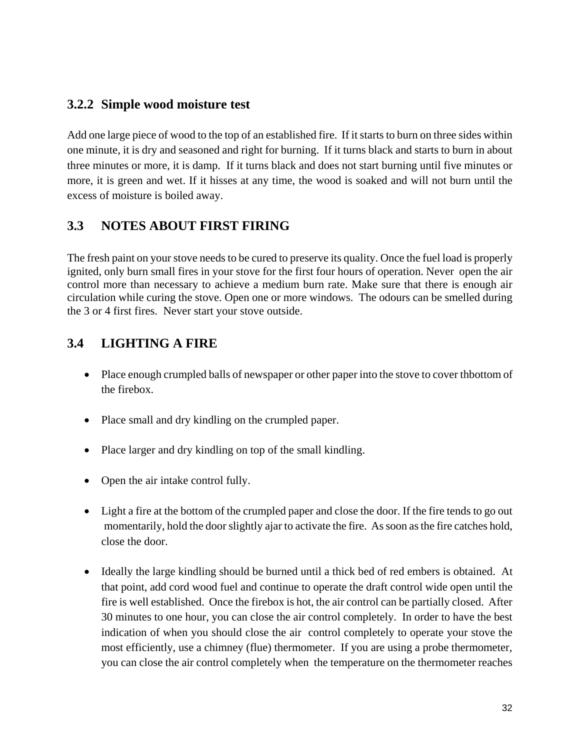#### **3.2.2 Simple wood moisture test**

Add one large piece of wood to the top of an established fire. If it starts to burn on three sides within one minute, it is dry and seasoned and right for burning. If it turns black and starts to burn in about three minutes or more, it is damp. If it turns black and does not start burning until five minutes or more, it is green and wet. If it hisses at any time, the wood is soaked and will not burn until the excess of moisture is boiled away.

## **3.3 NOTES ABOUT FIRST FIRING**

The fresh paint on your stove needs to be cured to preserve its quality. Once the fuel load is properly ignited, only burn small fires in your stove for the first four hours of operation. Never open the air control more than necessary to achieve a medium burn rate. Make sure that there is enough air circulation while curing the stove. Open one or more windows. The odours can be smelled during the 3 or 4 first fires. Never start your stove outside.

## **3.4 LIGHTING A FIRE**

- Place enough crumpled balls of newspaper or other paper into the stove to cover thbottom of the firebox.
- Place small and dry kindling on the crumpled paper.
- Place larger and dry kindling on top of the small kindling.
- Open the air intake control fully.
- Light a fire at the bottom of the crumpled paper and close the door. If the fire tends to go out momentarily, hold the door slightly ajar to activate the fire. As soon as the fire catches hold, close the door.
- Ideally the large kindling should be burned until a thick bed of red embers is obtained. At that point, add cord wood fuel and continue to operate the draft control wide open until the fire is well established. Once the firebox is hot, the air control can be partially closed. After 30 minutes to one hour, you can close the air control completely. In order to have the best indication of when you should close the air control completely to operate your stove the most efficiently, use a chimney (flue) thermometer. If you are using a probe thermometer, you can close the air control completely when the temperature on the thermometer reaches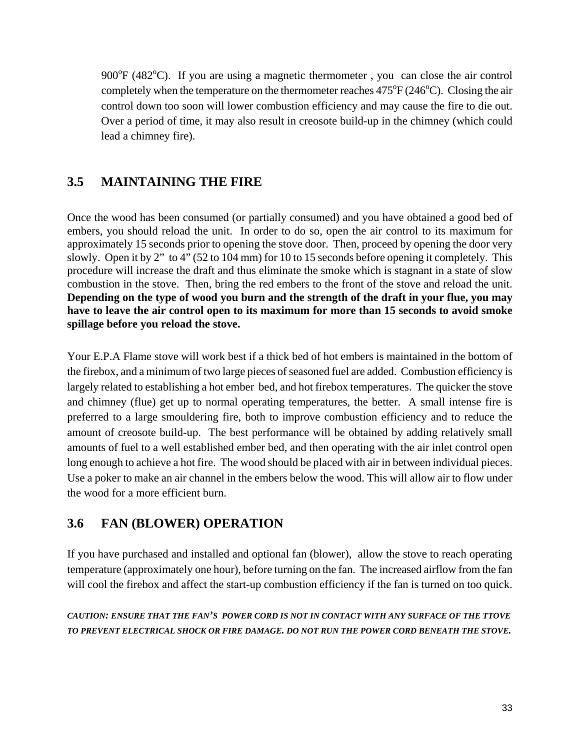900°F (482°C). If you are using a magnetic thermometer, you can close the air control completely when the temperature on the thermometer reaches  $475^{\circ}F(246^{\circ}C)$ . Closing the air control down too soon will lower combustion efficiency and may cause the fire to die out. Over a period of time, it may also result in creosote build-up in the chimney (which could lead a chimney fire).

## **3.5 MAINTAINING THE FIRE**

Once the wood has been consumed (or partially consumed) and you have obtained a good bed of embers, you should reload the unit. In order to do so, open the air control to its maximum for approximately 15 seconds prior to opening the stove door. Then, proceed by opening the door very slowly. Open it by 2" to 4" (52 to 104 mm) for 10 to 15 seconds before opening it completely. This procedure will increase the draft and thus eliminate the smoke which is stagnant in a state of slow combustion in the stove. Then, bring the red embers to the front of the stove and reload the unit. **Depending on the type of wood you burn and the strength of the draft in your flue, you may have to leave the air control open to its maximum for more than 15 seconds to avoid smoke spillage before you reload the stove.** 

Your E.P.A Flame stove will work best if a thick bed of hot embers is maintained in the bottom of the firebox, and a minimum of two large pieces of seasoned fuel are added. Combustion efficiency is largely related to establishing a hot ember bed, and hot firebox temperatures. The quicker the stove and chimney (flue) get up to normal operating temperatures, the better. A small intense fire is preferred to a large smouldering fire, both to improve combustion efficiency and to reduce the amount of creosote build-up. The best performance will be obtained by adding relatively small amounts of fuel to a well established ember bed, and then operating with the air inlet control open long enough to achieve a hot fire. The wood should be placed with air in between individual pieces. Use a poker to make an air channel in the embers below the wood. This will allow air to flow under the wood for a more efficient burn.

### **3.6 FAN (BLOWER) OPERATION**

If you have purchased and installed and optional fan (blower), allow the stove to reach operating temperature (approximately one hour), before turning on the fan. The increased airflow from the fan will cool the firebox and affect the start-up combustion efficiency if the fan is turned on too quick.

*CAUTION: ENSURE THAT THE FAN'S POWER CORD IS NOT IN CONTACT WITH ANY SURFACE OF THE TTOVE TO PREVENT ELECTRICAL SHOCK OR FIRE DAMAGE. DO NOT RUN THE POWER CORD BENEATH THE STOVE.*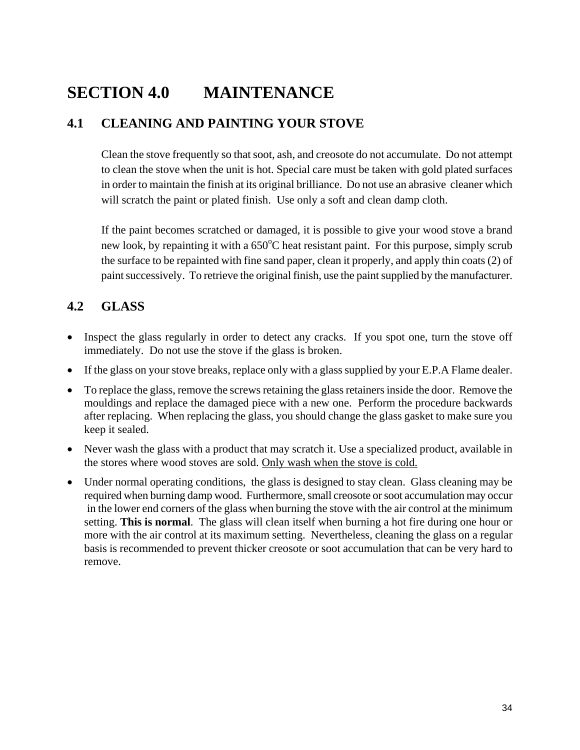## **SECTION 4.0 MAINTENANCE**

## **4.1 CLEANING AND PAINTING YOUR STOVE**

Clean the stove frequently so that soot, ash, and creosote do not accumulate. Do not attempt to clean the stove when the unit is hot. Special care must be taken with gold plated surfaces in order to maintain the finish at its original brilliance. Do not use an abrasive cleaner which will scratch the paint or plated finish. Use only a soft and clean damp cloth.

If the paint becomes scratched or damaged, it is possible to give your wood stove a brand new look, by repainting it with a 650°C heat resistant paint. For this purpose, simply scrub the surface to be repainted with fine sand paper, clean it properly, and apply thin coats (2) of paint successively. To retrieve the original finish, use the paint supplied by the manufacturer.

## **4.2 GLASS**

- Inspect the glass regularly in order to detect any cracks. If you spot one, turn the stove off immediately. Do not use the stove if the glass is broken.
- If the glass on your stove breaks, replace only with a glass supplied by your E.P.A Flame dealer.
- To replace the glass, remove the screws retaining the glass retainers inside the door. Remove the mouldings and replace the damaged piece with a new one. Perform the procedure backwards after replacing. When replacing the glass, you should change the glass gasket to make sure you keep it sealed.
- Never wash the glass with a product that may scratch it. Use a specialized product, available in the stores where wood stoves are sold. Only wash when the stove is cold.
- Under normal operating conditions, the glass is designed to stay clean. Glass cleaning may be required when burning damp wood. Furthermore, small creosote or soot accumulation may occur in the lower end corners of the glass when burning the stove with the air control at the minimum setting. **This is normal**. The glass will clean itself when burning a hot fire during one hour or more with the air control at its maximum setting. Nevertheless, cleaning the glass on a regular basis is recommended to prevent thicker creosote or soot accumulation that can be very hard to remove.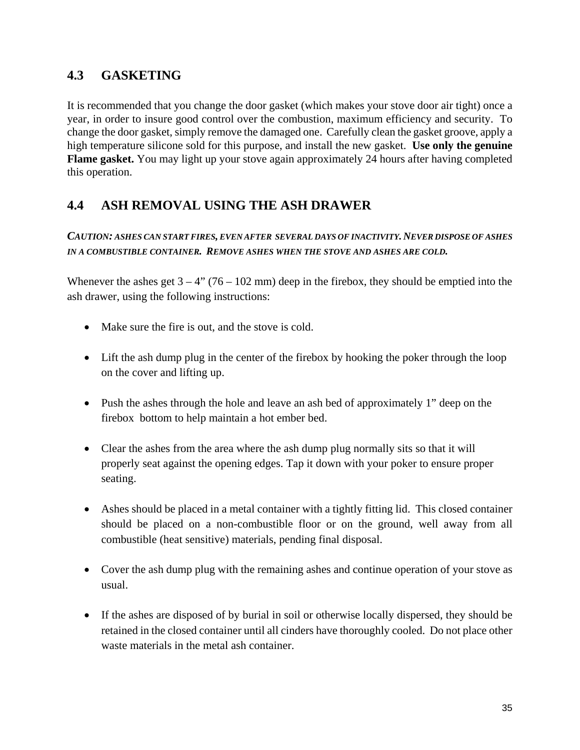## **4.3 GASKETING**

It is recommended that you change the door gasket (which makes your stove door air tight) once a year, in order to insure good control over the combustion, maximum efficiency and security. To change the door gasket, simply remove the damaged one. Carefully clean the gasket groove, apply a high temperature silicone sold for this purpose, and install the new gasket. **Use only the genuine Flame gasket.** You may light up your stove again approximately 24 hours after having completed this operation.

## **4.4 ASH REMOVAL USING THE ASH DRAWER**

#### *CAUTION: ASHES CAN START FIRES, EVEN AFTER SEVERAL DAYS OF INACTIVITY. NEVER DISPOSE OF ASHES IN A COMBUSTIBLE CONTAINER. REMOVE ASHES WHEN THE STOVE AND ASHES ARE COLD.*

Whenever the ashes get  $3 - 4$ " (76 – 102 mm) deep in the firebox, they should be emptied into the ash drawer, using the following instructions:

- Make sure the fire is out, and the stove is cold.
- Lift the ash dump plug in the center of the firebox by hooking the poker through the loop on the cover and lifting up.
- Push the ashes through the hole and leave an ash bed of approximately 1" deep on the firebox bottom to help maintain a hot ember bed.
- Clear the ashes from the area where the ash dump plug normally sits so that it will properly seat against the opening edges. Tap it down with your poker to ensure proper seating.
- Ashes should be placed in a metal container with a tightly fitting lid. This closed container should be placed on a non-combustible floor or on the ground, well away from all combustible (heat sensitive) materials, pending final disposal.
- Cover the ash dump plug with the remaining ashes and continue operation of your stove as usual.
- If the ashes are disposed of by burial in soil or otherwise locally dispersed, they should be retained in the closed container until all cinders have thoroughly cooled. Do not place other waste materials in the metal ash container.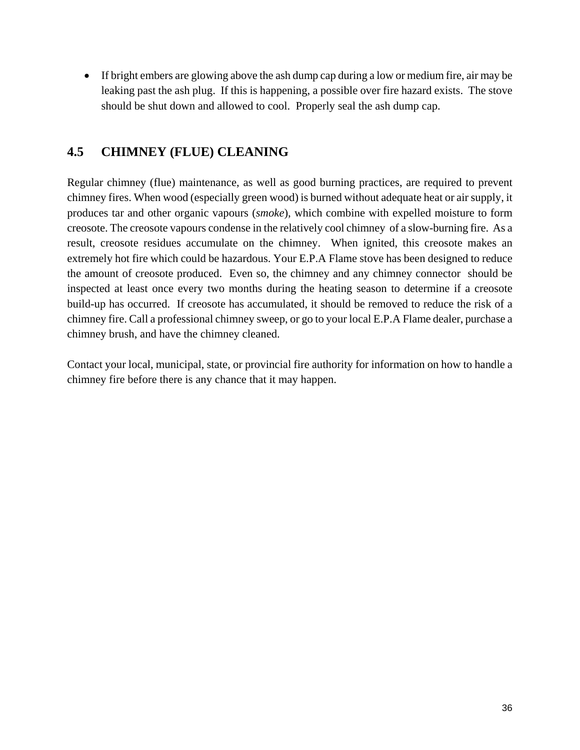• If bright embers are glowing above the ash dump cap during a low or medium fire, air may be leaking past the ash plug. If this is happening, a possible over fire hazard exists. The stove should be shut down and allowed to cool. Properly seal the ash dump cap.

## **4.5 CHIMNEY (FLUE) CLEANING**

Regular chimney (flue) maintenance, as well as good burning practices, are required to prevent chimney fires. When wood (especially green wood) is burned without adequate heat or air supply, it produces tar and other organic vapours (*smoke*), which combine with expelled moisture to form creosote. The creosote vapours condense in the relatively cool chimney of a slow-burning fire. As a result, creosote residues accumulate on the chimney. When ignited, this creosote makes an extremely hot fire which could be hazardous. Your E.P.A Flame stove has been designed to reduce the amount of creosote produced. Even so, the chimney and any chimney connector should be inspected at least once every two months during the heating season to determine if a creosote build-up has occurred. If creosote has accumulated, it should be removed to reduce the risk of a chimney fire. Call a professional chimney sweep, or go to your local E.P.A Flame dealer, purchase a chimney brush, and have the chimney cleaned.

Contact your local, municipal, state, or provincial fire authority for information on how to handle a chimney fire before there is any chance that it may happen.